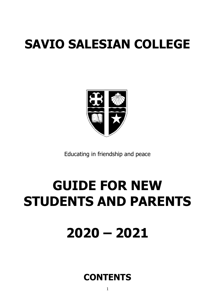# **SAVIO SALESIAN COLLEGE**



Educating in friendship and peace

# **GUIDE FOR NEW STUDENTS AND PARENTS**

**2020 – 2021**

### **CONTENTS**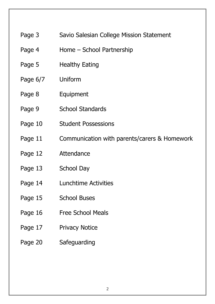#### Page 3 Savio Salesian College Mission Statement

- Page 4 Home School Partnership
- Page 5 Healthy Eating
- Page 6/7 Uniform
- Page 8 Equipment
- Page 9 School Standards
- Page 10 Student Possessions
- Page 11 Communication with parents/carers & Homework
- Page 12 Attendance
- Page 13 School Day
- Page 14 Lunchtime Activities
- Page 15 School Buses
- Page 16 Free School Meals
- Page 17 Privacy Notice
- Page 20 Safeguarding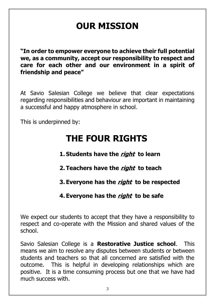# **OUR MISSION**

**"In order to empower everyone to achieve their full potential we, as a community, accept our responsibility to respect and care for each other and our environment in a spirit of friendship and peace"**

At Savio Salesian College we believe that clear expectations regarding responsibilities and behaviour are important in maintaining a successful and happy atmosphere in school.

This is underpinned by:

## **THE FOUR RIGHTS**

- **1. Students have the right to learn**
- **2. Teachers have the right to teach**
- **3. Everyone has the right to be respected**

#### **4. Everyone has the right to be safe**

We expect our students to accept that they have a responsibility to respect and co-operate with the Mission and shared values of the school.

Savio Salesian College is a **Restorative Justice school**. This means we aim to resolve any disputes between students or between students and teachers so that all concerned are satisfied with the outcome. This is helpful in developing relationships which are positive. It is a time consuming process but one that we have had much success with.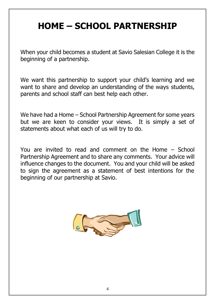# **HOME – SCHOOL PARTNERSHIP**

When your child becomes a student at Savio Salesian College it is the beginning of a partnership.

We want this partnership to support your child's learning and we want to share and develop an understanding of the ways students, parents and school staff can best help each other.

We have had a Home – School Partnership Agreement for some years but we are keen to consider your views. It is simply a set of statements about what each of us will try to do.

You are invited to read and comment on the Home – School Partnership Agreement and to share any comments. Your advice will influence changes to the document. You and your child will be asked to sign the agreement as a statement of best intentions for the beginning of our partnership at Savio.

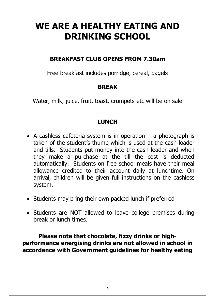## **WE ARE A HEALTHY EATING AND DRINKING SCHOOL**

#### **BREAKFAST CLUB OPENS FROM 7.30am**

Free breakfast includes porridge, cereal, bagels

#### **BREAK**

Water, milk, juice, fruit, toast, crumpets etc will be on sale

#### **LUNCH**

- A cashless cafeteria system is in operation  $-$  a photograph is taken of the student's thumb which is used at the cash loader and tills. Students put money into the cash loader and when they make a purchase at the till the cost is deducted automatically. Students on free school meals have their meal allowance credited to their account daily at lunchtime. On arrival, children will be given full instructions on the cashless system.
- Students may bring their own packed lunch if preferred
- Students are NOT allowed to leave college premises during break or lunch times.

**Please note that chocolate, fizzy drinks or highperformance energising drinks are not allowed in school in accordance with Government guidelines for healthy eating**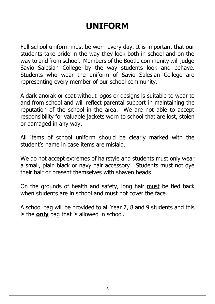# **UNIFORM**

Full school uniform must be worn every day. It is important that our students take pride in the way they look both in school and on the way to and from school. Members of the Bootle community will judge Savio Salesian College by the way students look and behave. Students who wear the uniform of Savio Salesian College are representing every member of our school community.

A dark anorak or coat without logos or designs is suitable to wear to and from school and will reflect parental support in maintaining the reputation of the school in the area. We are not able to accept responsibility for valuable jackets worn to school that are lost, stolen or damaged in any way.

All items of school uniform should be clearly marked with the student's name in case items are mislaid.

We do not accept extremes of hairstyle and students must only wear a small, plain black or navy hair accessory. Students must not dye their hair or present themselves with shaven heads.

On the grounds of health and safety, long hair must be tied back when students are in school and must not cover the face.

A school bag will be provided to all Year 7, 8 and 9 students and this is the **only** bag that is allowed in school.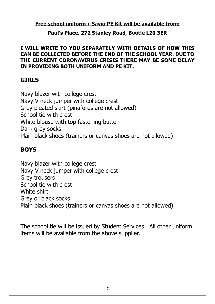#### **Free school uniform / Savio PE Kit will be available from:**

**Paul's Place, 272 Stanley Road, Bootle L20 3ER** 

#### **I WILL WRITE TO YOU SEPARATELY WITH DETAILS OF HOW THIS CAN BE COLLECTED BEFORE THE END OF THE SCHOOL YEAR. DUE TO THE CURRENT CORONAVIRUS CRISIS THERE MAY BE SOME DELAY IN PROVIDING BOTH UNIFORM AND PE KIT.**

#### **GIRLS**

Navy blazer with college crest Navy V neck jumper with college crest Grey pleated skirt (pinafores are not allowed) School tie with crest White blouse with top fastening button Dark grey socks Plain black shoes (trainers or canvas shoes are not allowed)

#### **BOYS**

Navy blazer with college crest Navy V neck jumper with college crest Grey trousers School tie with crest White shirt Grey or black socks Plain black shoes (trainers or canvas shoes are not allowed)

The school tie will be issued by Student Services. All other uniform items will be available from the above supplier.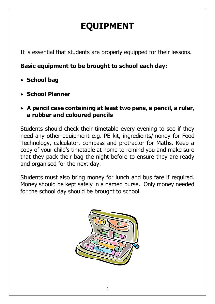# **EQUIPMENT**

It is essential that students are properly equipped for their lessons.

#### **Basic equipment to be brought to school each day:**

- **School bag**
- **School Planner**
- **A pencil case containing at least two pens, a pencil, a ruler, a rubber and coloured pencils**

Students should check their timetable every evening to see if they need any other equipment e.g. PE kit, ingredients/money for Food Technology, calculator, compass and protractor for Maths. Keep a copy of your child's timetable at home to remind you and make sure that they pack their bag the night before to ensure they are ready and organised for the next day.

Students must also bring money for lunch and bus fare if required. Money should be kept safely in a named purse. Only money needed for the school day should be brought to school.

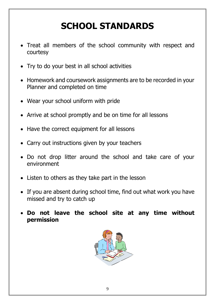# **SCHOOL STANDARDS**

- Treat all members of the school community with respect and courtesy
- Try to do your best in all school activities
- Homework and coursework assignments are to be recorded in your Planner and completed on time
- Wear your school uniform with pride
- Arrive at school promptly and be on time for all lessons
- Have the correct equipment for all lessons
- Carry out instructions given by your teachers
- Do not drop litter around the school and take care of your environment
- Listen to others as they take part in the lesson
- If you are absent during school time, find out what work you have missed and try to catch up
- **Do not leave the school site at any time without permission**

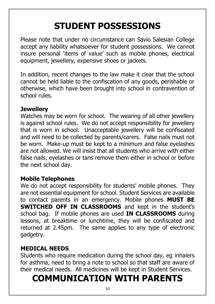# **STUDENT POSSESSIONS**

Please note that under no circumstance can Savio Salesian College accept any liability whatsoever for student possessions. We cannot insure personal 'items of value' such as mobile phones, electrical equipment, jewellery, expensive shoes or jackets.

In addition, recent changes to the law make it clear that the school cannot be held liable to the confiscation of any goods, perishable or otherwise, which have been brought into school in contravention of school rules.

#### **Jewellery**

Watches may be worn for school. The wearing of all other jewellery is against school rules. We do not accept responsibility for jewellery that is worn in school. Unacceptable jewellery will be confiscated and will need to be collected by parents/carers. False nails must not be worn. Make-up must be kept to a minimum and false eyelashes are not allowed. We will insist that all students who arrive with either false nails, eyelashes or tans remove them either in school or before the next school day.

#### **Mobile Telephones**

We do not accept responsibility for students' mobile phones. They are not essential equipment for school. Student Services are available to contact parents in an emergency. Mobile phones **MUST BE SWITCHED OFF IN CLASSROOMS** and kept in the student's school bag. If mobile phones are used **IN CLASSROOMS** during lessons, at breaktime or lunchtime, they will be confiscated and returned at 2.45pm. The same applies to any type of electronic gadgetry.

#### **MEDICAL NEEDS**

Students who require medication during the school day, eg inhalers for asthma, need to bring a note to school so that staff are aware of their medical needs. All medicines will be kept in Student Services.

### **COMMUNICATION WITH PARENTS**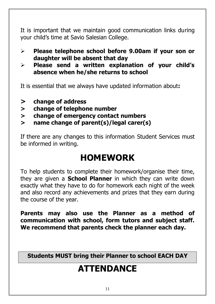It is important that we maintain good communication links during your child's time at Savio Salesian College.

- ➢ **Please telephone school before 9.00am if your son or daughter will be absent that day**
- ➢ **Please send a written explanation of your child's absence when he/she returns to school**

It is essential that we always have updated information about**:**

- **> change of address**
- **> change of telephone number**
- **> change of emergency contact numbers**
- **> name change of parent(s)/legal carer(s)**

If there are any changes to this information Student Services must be informed in writing.

### **HOMEWORK**

To help students to complete their homework/organise their time, they are given a **School Planner** in which they can write down exactly what they have to do for homework each night of the week and also record any achievements and prizes that they earn during the course of the year.

**Parents may also use the Planner as a method of communication with school, form tutors and subject staff. We recommend that parents check the planner each day.**

**Students MUST bring their Planner to school EACH DAY**

# **ATTENDANCE**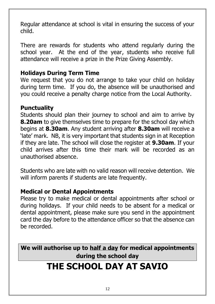Regular attendance at school is vital in ensuring the success of your child.

There are rewards for students who attend regularly during the school year. At the end of the year, students who receive full attendance will receive a prize in the Prize Giving Assembly.

#### **Holidays During Term Time**

We request that you do not arrange to take your child on holiday during term time. If you do, the absence will be unauthorised and you could receive a penalty charge notice from the Local Authority.

#### **Punctuality**

Students should plan their journey to school and aim to arrive by **8.20am** to give themselves time to prepare for the school day which begins at **8.30am**. Any student arriving after **8.30am** will receive a 'late' mark. NB, it is very important that students sign in at Reception if they are late. The school will close the register at **9.30am**. If your child arrives after this time their mark will be recorded as an unauthorised absence.

Students who are late with no valid reason will receive detention. We will inform parents if students are late frequently.

#### **Medical or Dental Appointments**

Please try to make medical or dental appointments after school or during holidays. If your child needs to be absent for a medical or dental appointment, please make sure you send in the appointment card the day before to the attendance officer so that the absence can be recorded.

**We will authorise up to half a day for medical appointments during the school day**

### **THE SCHOOL DAY AT SAVIO**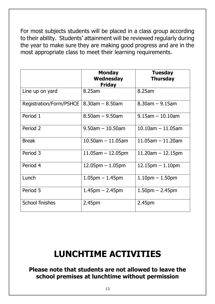For most subjects students will be placed in a class group according to their ability. Students' attainment will be reviewed regularly during the year to make sure they are making good progress and are in the most appropriate class to meet their learning requirements.

|                         | <b>Monday</b><br>Wednesday<br><b>Friday</b> | <b>Tuesday</b><br><b>Thursday</b> |
|-------------------------|---------------------------------------------|-----------------------------------|
| Line up on yard         | 8.25am                                      | 8.25am                            |
| Registration/Form/PSHCE | $8.30$ am $- 8.50$ am                       | $8.30$ am $- 9.15$ am             |
| Period 1                | $8.50$ am $-9.50$ am                        | $9.15$ am $-10.10$ am             |
| Period 2                | $9.50$ am $-10.50$ am                       | $10.10$ am $-11.05$ am            |
| <b>Break</b>            | $10.50$ am $-11.05$ am                      | $11.05$ am $-11.20$ am            |
| Period 3                | $11.05$ am $-12.05$ pm                      | $11.20$ am $-12.15$ pm            |
| Period 4                | $12.05$ pm $-1.05$ pm                       | $12.15$ pm $-1.10$ pm             |
| Lunch                   | $1.05$ pm $-1.45$ pm                        | $1.10pm - 1.50pm$                 |
| Period 5                | $1.45$ pm $- 2.45$ pm                       | $1.50pm - 2.45pm$                 |
| School finishes         | 2.45pm                                      | 2.45pm                            |

## **LUNCHTIME ACTIVITIES**

#### **Please note that students are not allowed to leave the school premises at lunchtime without permission**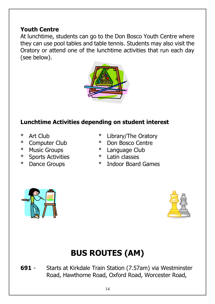#### **Youth Centre**

At lunchtime, students can go to the Don Bosco Youth Centre where they can use pool tables and table tennis. Students may also visit the Oratory or attend one of the lunchtime activities that run each day (see below).



#### **Lunchtime Activities depending on student interest**

- 
- 
- 
- \* Sports Activities \* Latin classes
- 
- \* Art Club \* Library/The Oratory
- \* Computer Club \* Don Bosco Centre
- \* Music Groups \* Language Club
	-
- \* Dance Groups \* Indoor Board Games





# **BUS ROUTES (AM)**

**691** - Starts at Kirkdale Train Station (7.57am) via Westminster Road, Hawthorne Road, Oxford Road, Worcester Road,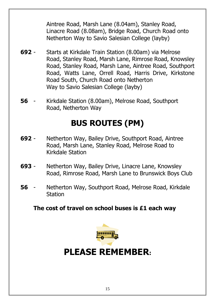Aintree Road, Marsh Lane (8.04am), Stanley Road, Linacre Road (8.08am), Bridge Road, Church Road onto Netherton Way to Savio Salesian College (layby)

- **692** Starts at Kirkdale Train Station (8.00am) via Melrose Road, Stanley Road, Marsh Lane, Rimrose Road, Knowsley Road, Stanley Road, Marsh Lane, Aintree Road, Southport Road, Watts Lane, Orrell Road, Harris Drive, Kirkstone Road South, Church Road onto Netherton Way to Savio Salesian College (layby)
- **56** Kirkdale Station (8.00am), Melrose Road, Southport Road, Netherton Way

### **BUS ROUTES (PM)**

- **692** Netherton Way, Bailey Drive, Southport Road, Aintree Road, Marsh Lane, Stanley Road, Melrose Road to Kirkdale Station
- **693** Netherton Way, Bailey Drive, Linacre Lane, Knowsley Road, Rimrose Road, Marsh Lane to Brunswick Boys Club
- **56** Netherton Way, Southport Road, Melrose Road, Kirkdale Station

#### **The cost of travel on school buses is £1 each way**



### **PLEASE REMEMBER:**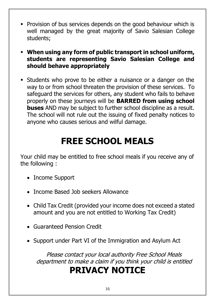- **Provision of bus services depends on the good behaviour which is** well managed by the great majority of Savio Salesian College students;
- **When using any form of public transport in school uniform, students are representing Savio Salesian College and should behave appropriately**
- Students who prove to be either a nuisance or a danger on the way to or from school threaten the provision of these services. To safeguard the services for others, any student who fails to behave properly on these journeys will be **BARRED from using school buses** AND may be subject to further school discipline as a result. The school will not rule out the issuing of fixed penalty notices to anyone who causes serious and wilful damage.

# **FREE SCHOOL MEALS**

Your child may be entitled to free school meals if you receive any of the following :

- Income Support
- Income Based Job seekers Allowance
- Child Tax Credit (provided your income does not exceed a stated amount and you are not entitled to Working Tax Credit)
- Guaranteed Pension Credit
- Support under Part VI of the Immigration and Asylum Act

Please contact your local authority Free School Meals department to make a claim if you think your child is entitled

## **PRIVACY NOTICE**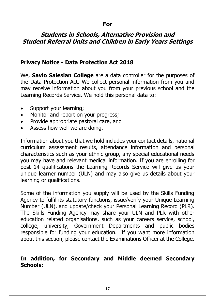#### **For**

#### **Students in Schools, Alternative Provision and Student Referral Units and Children in Early Years Settings**

#### **Privacy Notice - Data Protection Act 2018**

We, **Savio Salesian College** are a data controller for the purposes of the Data Protection Act. We collect personal information from you and may receive information about you from your previous school and the Learning Records Service. We hold this personal data to:

- Support your learning;
- Monitor and report on your progress;
- Provide appropriate pastoral care, and
- Assess how well we are doing.

Information about you that we hold includes your contact details, national curriculum assessment results, attendance information and personal characteristics such as your ethnic group, any special educational needs you may have and relevant medical information. If you are enrolling for post 14 qualifications the Learning Records Service will give us your unique learner number (ULN) and may also give us details about your learning or qualifications.

Some of the information you supply will be used by the Skills Funding Agency to fulfil its statutory functions, issue/verify your Unique Learning Number (ULN), and update/check your Personal Learning Record (PLR). The Skills Funding Agency may share your ULN and PLR with other education related organisations, such as your careers service, school, college, university, Government Departments and public bodies responsible for funding your education. If you want more information about this section, please contact the Examinations Officer at the College.

#### **In addition, for Secondary and Middle deemed Secondary Schools:**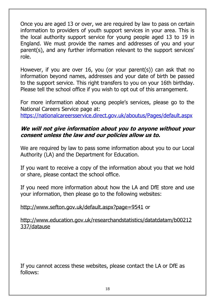Once you are aged 13 or over, we are required by law to pass on certain information to providers of youth support services in your area. This is the local authority support service for young people aged 13 to 19 in England. We must provide the names and addresses of you and your parent(s), and any further information relevant to the support services' role.

However, if you are over 16, you (or your parent(s)) can ask that no information beyond names, addresses and your date of birth be passed to the support service. This right transfers to you on your 16th birthday. Please tell the school office if you wish to opt out of this arrangement.

For more information about young people's services, please go to the National Careers Service page at: <https://nationalcareersservice.direct.gov.uk/aboutus/Pages/default.aspx>

#### **We will not give information about you to anyone without your consent unless the law and our policies allow us to.**

We are required by law to pass some information about you to our Local Authority (LA) and the Department for Education.

If you want to receive a copy of the information about you that we hold or share, please contact the school office.

If you need more information about how the LA and DfE store and use your information, then please go to the following websites:

#### <http://www.sefton.gov.uk/default.aspx?page=9541> or

[http://www.education.gov.uk/researchandstatistics/datatdatam/b00212](http://www.education.gov.uk/researchandstatistics/datatdatam/b00212337/datause) [337/datause](http://www.education.gov.uk/researchandstatistics/datatdatam/b00212337/datause)

If you cannot access these websites, please contact the LA or DfE as follows: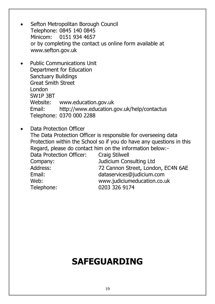- Sefton Metropolitan Borough Council Telephone: 0845 140 0845 Minicom: 0151 934 4657 or by completing the contact us online form available at [www.sefton.gov.uk](http://www.sefton.gov.uk/)
- Public Communications Unit Department for Education Sanctuary Buildings Great Smith Street London SW1P 3BT Website: [www.education.gov.uk](http://www.education.gov.uk/) Email: <http://www.education.gov.uk/help/contactus> Telephone: 0370 000 2288
- Data Protection Officer The Data Protection Officer is responsible for overseeing data Protection within the School so if you do have any questions in this Regard, please do contact him on the information below:- Data Protection Officer: Craig Stilwell Company: Judicium Consulting Ltd Address: 72 Cannon Street, London, EC4N 6AE Email: [dataservices@judicium.com](mailto:dataservices@judicium.com) Web: [www.judiciumeducation.co.uk](http://www.judiciumeducation.co.uk/) Telephone: 0203 326 9174

## **SAFEGUARDING**